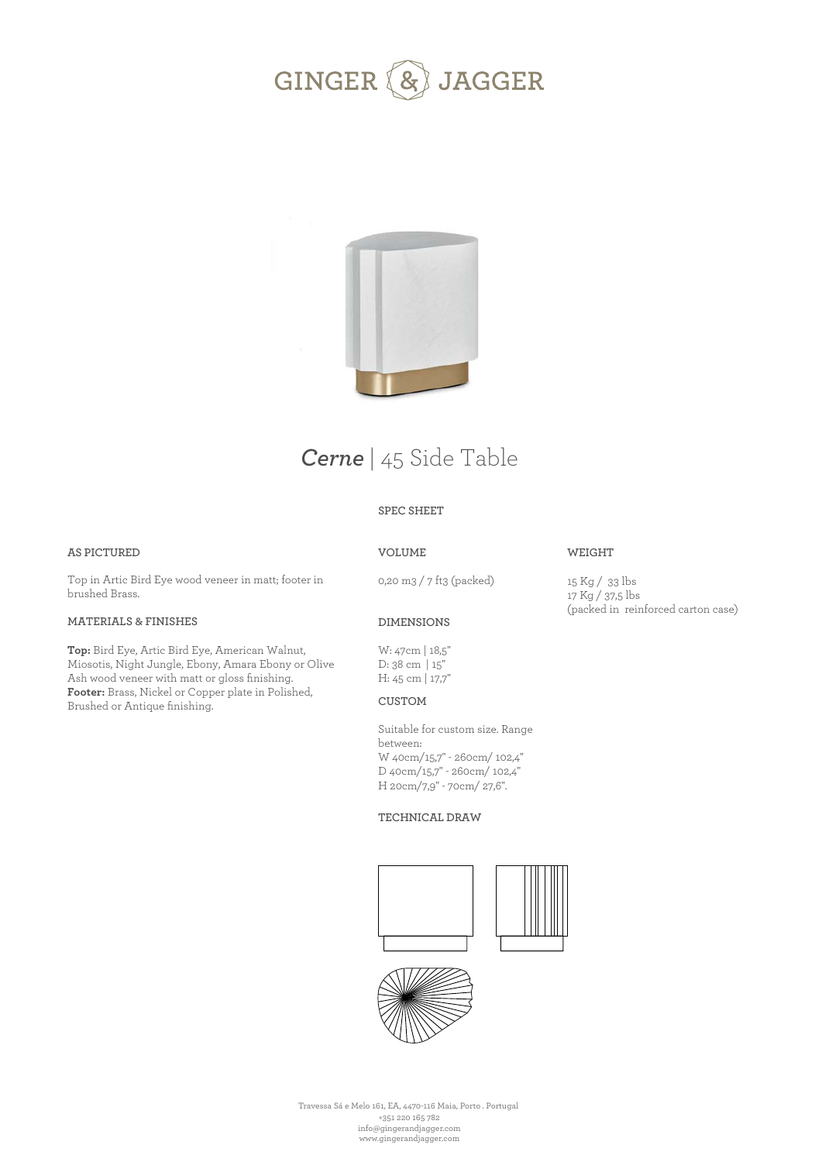



# *Cerne* | 45 Side Table

## **SPEC SHEET**

### **AS PICTURED**

Top in Artic Bird Eye wood veneer in matt; footer in brushed Brass.

## **MATERIALS & FINISHES**

**Top:** Bird Eye, Artic Bird Eye, American Walnut, Miosotis, Night Jungle, Ebony, Amara Ebony or Olive Ash wood veneer with matt or gloss finishing. **Footer:** Brass, Nickel or Copper plate in Polished, Brushed or Antique finishing.

## **VOLUME**

0,20 m3 / 7 ft3 (packed)

15 Kg / 33 lbs 17 Kg / 37,5 lbs (packed in reinforced carton case)

**WEIGHT** 

### **DIMENSIONS**

W: 47cm | 18,5'' D: 38 cm | 15'' H: 45 cm | 17,7''

### **CUSTOM**

Suitable for custom size. Range between: W 40cm/15,7" - 260cm/ 102,4" D 40cm/15,7" - 260cm/ 102,4" H 20cm/7,9" - 70cm/ 27,6".

#### **TECHNICAL DRAW**